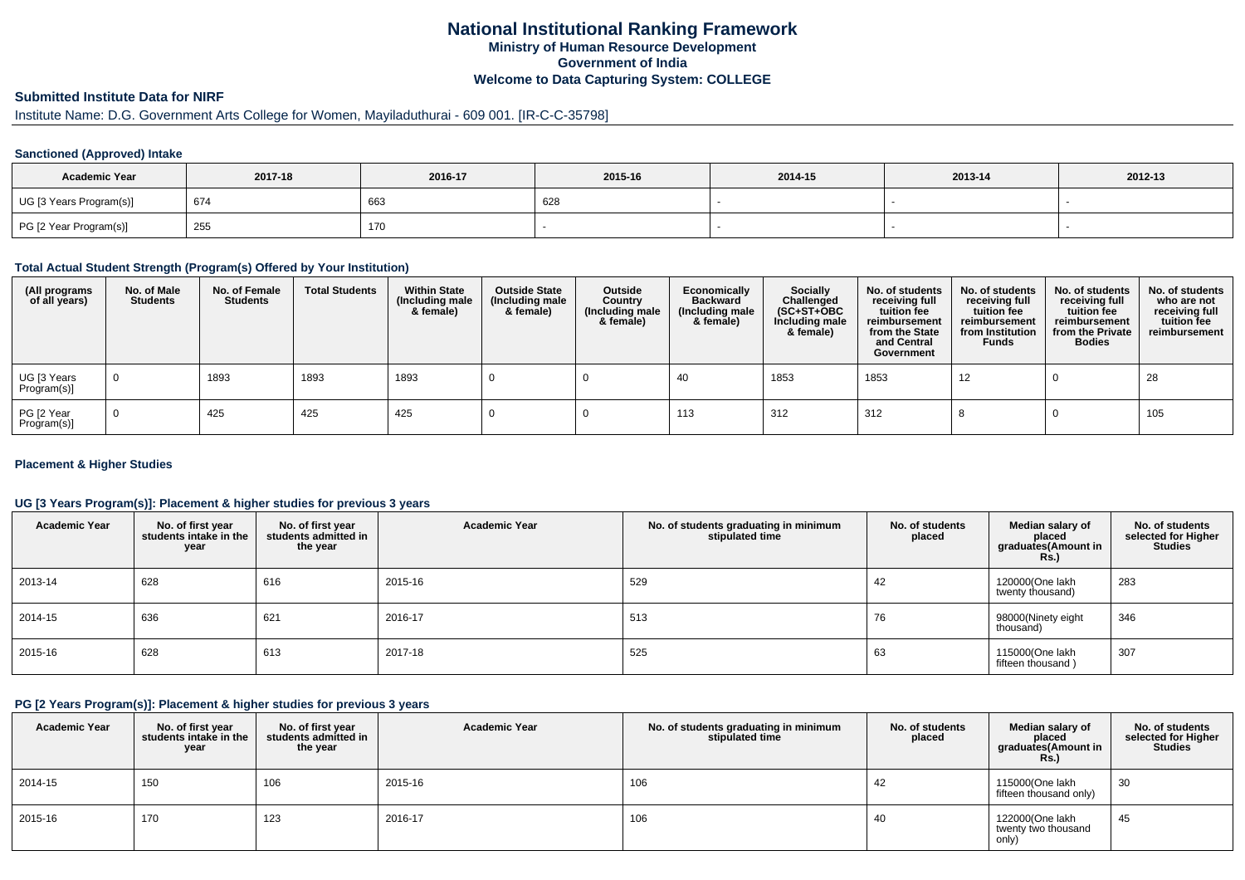# **National Institutional Ranking FrameworkMinistry of Human Resource DevelopmentGovernment of IndiaWelcome to Data Capturing System: COLLEGE**

# **Submitted Institute Data for NIRF**

#### Institute Name: D.G. Government Arts College for Women, Mayiladuthurai - 609 001. [IR-C-C-35798]

### **Sanctioned (Approved) Intake**

| <b>Academic Year</b>    | 2017-18 | 2016-17 | 2015-16    | 2014-15 | 2013-14 | 2012-13 |
|-------------------------|---------|---------|------------|---------|---------|---------|
| UG [3 Years Program(s)] | 674     | 663     | coc<br>א∠ס |         |         |         |
| PG [2 Year Program(s)]  | 255     | 170     |            |         |         |         |

#### **Total Actual Student Strength (Program(s) Offered by Your Institution)**

| (All programs<br>of all years) | No. of Male<br><b>Students</b> | No. of Female<br>Students | <b>Total Students</b> | <b>Within State</b><br>(Including male<br>& female) | <b>Outside State</b><br>(Including male<br>& female) | Outside<br>Country<br>(Including male<br>& female) | Economically<br><b>Backward</b><br>(Including male<br>& female) | <b>Socially</b><br>Challenged<br>$(SC+ST+OBC)$<br>Including male<br>& female) | No. of students<br>receiving full<br>tuition fee<br>reimbursement<br>from the State<br>and Central<br>Government | No. of students<br>receiving full<br>tuition fee<br>reimbursement<br>from Institution<br><b>Funds</b> | No. of students<br>receiving full<br>tuition fee<br>reimbursement<br>from the Private<br><b>Bodies</b> | No. of students<br>who are not<br>receiving full<br>tuition fee<br>reimbursement |
|--------------------------------|--------------------------------|---------------------------|-----------------------|-----------------------------------------------------|------------------------------------------------------|----------------------------------------------------|-----------------------------------------------------------------|-------------------------------------------------------------------------------|------------------------------------------------------------------------------------------------------------------|-------------------------------------------------------------------------------------------------------|--------------------------------------------------------------------------------------------------------|----------------------------------------------------------------------------------|
| UG [3 Years<br>Program(s)]     | $\mathbf 0$                    | 1893                      | 1893                  | 1893                                                |                                                      |                                                    | -40                                                             | 1853                                                                          | 1853                                                                                                             | 12                                                                                                    |                                                                                                        | 28                                                                               |
| PG [2 Year<br>Program(s)]      | $\overline{0}$                 | 425                       | 425                   | 425                                                 |                                                      |                                                    | 113                                                             | 312                                                                           | 312                                                                                                              | o                                                                                                     |                                                                                                        | 105                                                                              |

### **Placement & Higher Studies**

### **UG [3 Years Program(s)]: Placement & higher studies for previous 3 years**

| <b>Academic Year</b> | No. of first year<br>students intake in the<br>year | No. of first year<br>students admitted in<br>the year | <b>Academic Year</b> | No. of students graduating in minimum<br>stipulated time | No. of students<br>placed | Median salary of<br>placed<br>graduates(Amount in<br><b>Rs.)</b> | No. of students<br>selected for Higher<br><b>Studies</b> |
|----------------------|-----------------------------------------------------|-------------------------------------------------------|----------------------|----------------------------------------------------------|---------------------------|------------------------------------------------------------------|----------------------------------------------------------|
| 2013-14              | 628                                                 | 616                                                   | 2015-16              | 529                                                      | 42                        | 120000(One lakh<br>twenty thousand)                              | 283                                                      |
| 2014-15              | 636                                                 | 621                                                   | 2016-17              | 513                                                      | 76                        | 98000(Ninety eight<br>thousand)                                  | 346                                                      |
| 2015-16              | 628                                                 | 613                                                   | 2017-18              | 525                                                      | 63                        | 115000(One lakh<br>fifteen thousand)                             | 307                                                      |

#### **PG [2 Years Program(s)]: Placement & higher studies for previous 3 years**

| <b>Academic Year</b> | No. of first year<br>students intake in the<br>year | No. of first vear<br>students admitted in<br>the year | <b>Academic Year</b> | No. of students graduating in minimum<br>stipulated time | No. of students<br>placed | Median salary of<br>placed<br>graduates(Amount in<br><b>Rs.)</b> | No. of students<br>selected for Higher<br><b>Studies</b> |
|----------------------|-----------------------------------------------------|-------------------------------------------------------|----------------------|----------------------------------------------------------|---------------------------|------------------------------------------------------------------|----------------------------------------------------------|
| 2014-15              | 150                                                 | 106                                                   | 2015-16              | 106                                                      | 42                        | 115000(One lakh<br>fifteen thousand only)                        | 30                                                       |
| 2015-16              | 170                                                 | 123                                                   | 2016-17              | 106                                                      | 40                        | 122000(One lakh<br>twenty two thousand<br>only)                  | 45                                                       |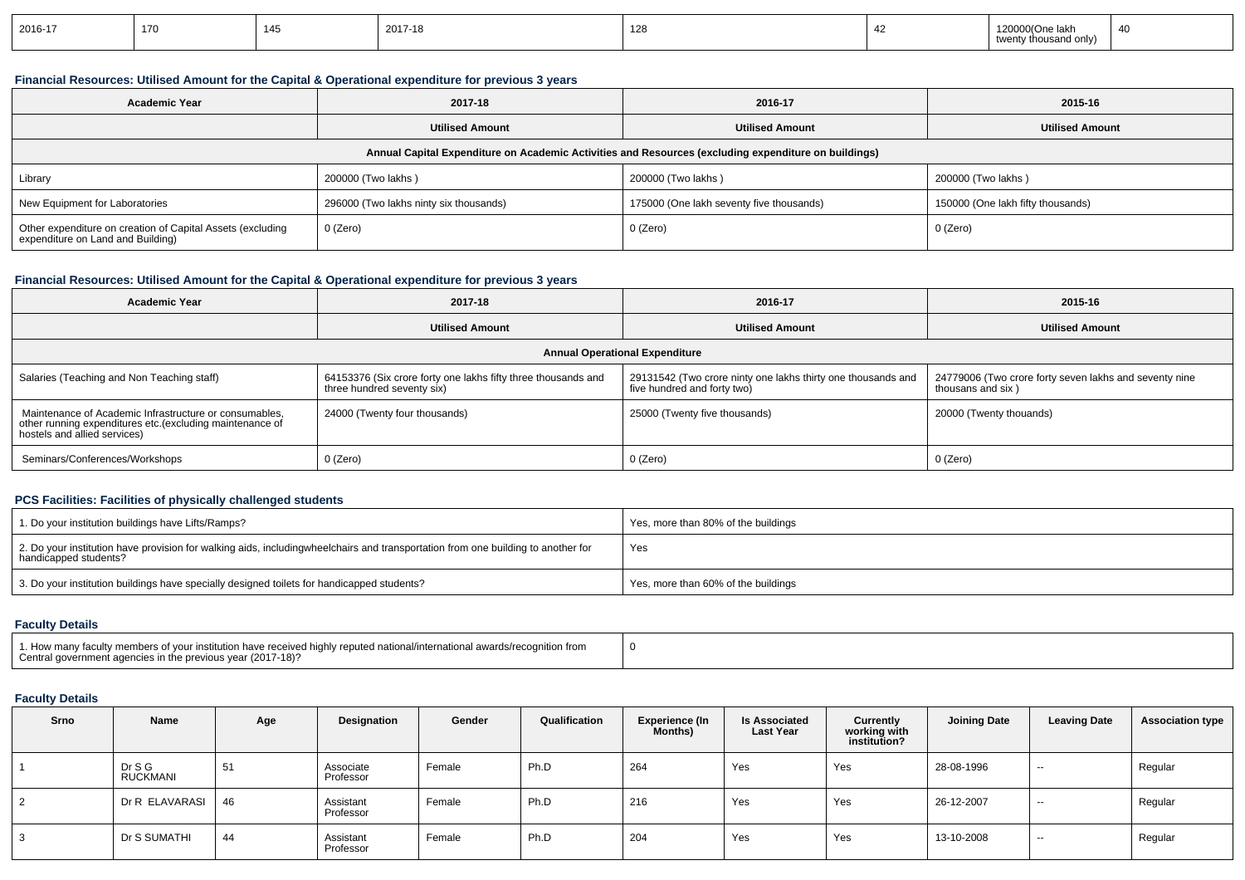| 2016-17 | $\rightarrow$<br>17O |  | 2017-18 | $\overline{A}$<br>14 Q |  | ne lakh…….<br>$L_{L}$<br>$H =$<br>na oniv) | $40^{\circ}$ |
|---------|----------------------|--|---------|------------------------|--|--------------------------------------------|--------------|
|---------|----------------------|--|---------|------------------------|--|--------------------------------------------|--------------|

# **Financial Resources: Utilised Amount for the Capital & Operational expenditure for previous 3 years**

| <b>Academic Year</b>                                                                                 | 2017-18                                | 2016-17                                  | 2015-16                           |  |  |  |  |  |  |  |  |
|------------------------------------------------------------------------------------------------------|----------------------------------------|------------------------------------------|-----------------------------------|--|--|--|--|--|--|--|--|
|                                                                                                      | <b>Utilised Amount</b>                 | <b>Utilised Amount</b>                   | <b>Utilised Amount</b>            |  |  |  |  |  |  |  |  |
| Annual Capital Expenditure on Academic Activities and Resources (excluding expenditure on buildings) |                                        |                                          |                                   |  |  |  |  |  |  |  |  |
| Library                                                                                              | 200000 (Two lakhs)                     |                                          | 200000 (Two lakhs)                |  |  |  |  |  |  |  |  |
| New Equipment for Laboratories                                                                       | 296000 (Two lakhs ninty six thousands) | 175000 (One lakh seventy five thousands) | 150000 (One lakh fifty thousands) |  |  |  |  |  |  |  |  |
| Other expenditure on creation of Capital Assets (excluding<br>expenditure on Land and Building)      | 0 (Zero)                               | 0 (Zero)                                 | 0 (Zero)                          |  |  |  |  |  |  |  |  |

# **Financial Resources: Utilised Amount for the Capital & Operational expenditure for previous 3 years**

| <b>Academic Year</b>                                                                                                                                | 2017-18                                                                                     | 2016-17                                                                                     | 2015-16                                                                     |  |  |  |  |  |  |  |  |
|-----------------------------------------------------------------------------------------------------------------------------------------------------|---------------------------------------------------------------------------------------------|---------------------------------------------------------------------------------------------|-----------------------------------------------------------------------------|--|--|--|--|--|--|--|--|
|                                                                                                                                                     | <b>Utilised Amount</b>                                                                      | <b>Utilised Amount</b>                                                                      | <b>Utilised Amount</b>                                                      |  |  |  |  |  |  |  |  |
| <b>Annual Operational Expenditure</b>                                                                                                               |                                                                                             |                                                                                             |                                                                             |  |  |  |  |  |  |  |  |
| Salaries (Teaching and Non Teaching staff)                                                                                                          | 64153376 (Six crore forty one lakhs fifty three thousands and<br>three hundred seventy six) | 29131542 (Two crore ninty one lakhs thirty one thousands and<br>five hundred and forty two) | 24779006 (Two crore forty seven lakhs and seventy nine<br>thousans and six) |  |  |  |  |  |  |  |  |
| Maintenance of Academic Infrastructure or consumables,<br>other running expenditures etc. (excluding maintenance of<br>hostels and allied services) | 24000 (Twenty four thousands)                                                               | 25000 (Twenty five thousands)                                                               | 20000 (Twenty thouands)                                                     |  |  |  |  |  |  |  |  |
| Seminars/Conferences/Workshops                                                                                                                      | 0 (Zero)                                                                                    | 0 (Zero)                                                                                    | 0 (Zero)                                                                    |  |  |  |  |  |  |  |  |

### **PCS Facilities: Facilities of physically challenged students**

| 1. Do your institution buildings have Lifts/Ramps?                                                                                                        | Yes, more than 80% of the buildings |
|-----------------------------------------------------------------------------------------------------------------------------------------------------------|-------------------------------------|
| 2. Do your institution have provision for walking aids, includingwheelchairs and transportation from one building to another for<br>handicapped students? | Yes                                 |
| 3. Do your institution buildings have specially designed toilets for handicapped students?                                                                | Yes, more than 60% of the buildings |

### **Faculty Details**

| 1. How many faculty members of your institution have received highly reputed national/international awards/recognition from<br>Central government agencies in the previous year (2017-18)? |  |
|--------------------------------------------------------------------------------------------------------------------------------------------------------------------------------------------|--|
|--------------------------------------------------------------------------------------------------------------------------------------------------------------------------------------------|--|

| Srno     | <b>Name</b>               | Age | Designation            | Gender | Qualification | Experience (In<br><b>Months</b> ) | <b>Is Associated</b><br><b>Last Year</b> | Currently<br>working with<br>institution? | <b>Joining Date</b> | <b>Leaving Date</b> | <b>Association type</b> |
|----------|---------------------------|-----|------------------------|--------|---------------|-----------------------------------|------------------------------------------|-------------------------------------------|---------------------|---------------------|-------------------------|
|          | Dr S G<br><b>RUCKMANI</b> | 51  | Associate<br>Professor | Female | Ph.D          | 264                               | Yes                                      | Yes                                       | 28-08-1996          | --                  | Regular                 |
| - 2<br>∠ | Dr R ELAVARASI            | 46  | Assistant<br>Professor | Female | Ph.D          | 216                               | Yes                                      | Yes                                       | 26-12-2007          | --                  | Regular                 |
| 3        | Dr S SUMATHI              | 44  | Assistant<br>Professor | Female | Ph.D          | 204                               | Yes                                      | Yes                                       | 13-10-2008          | --                  | Regular                 |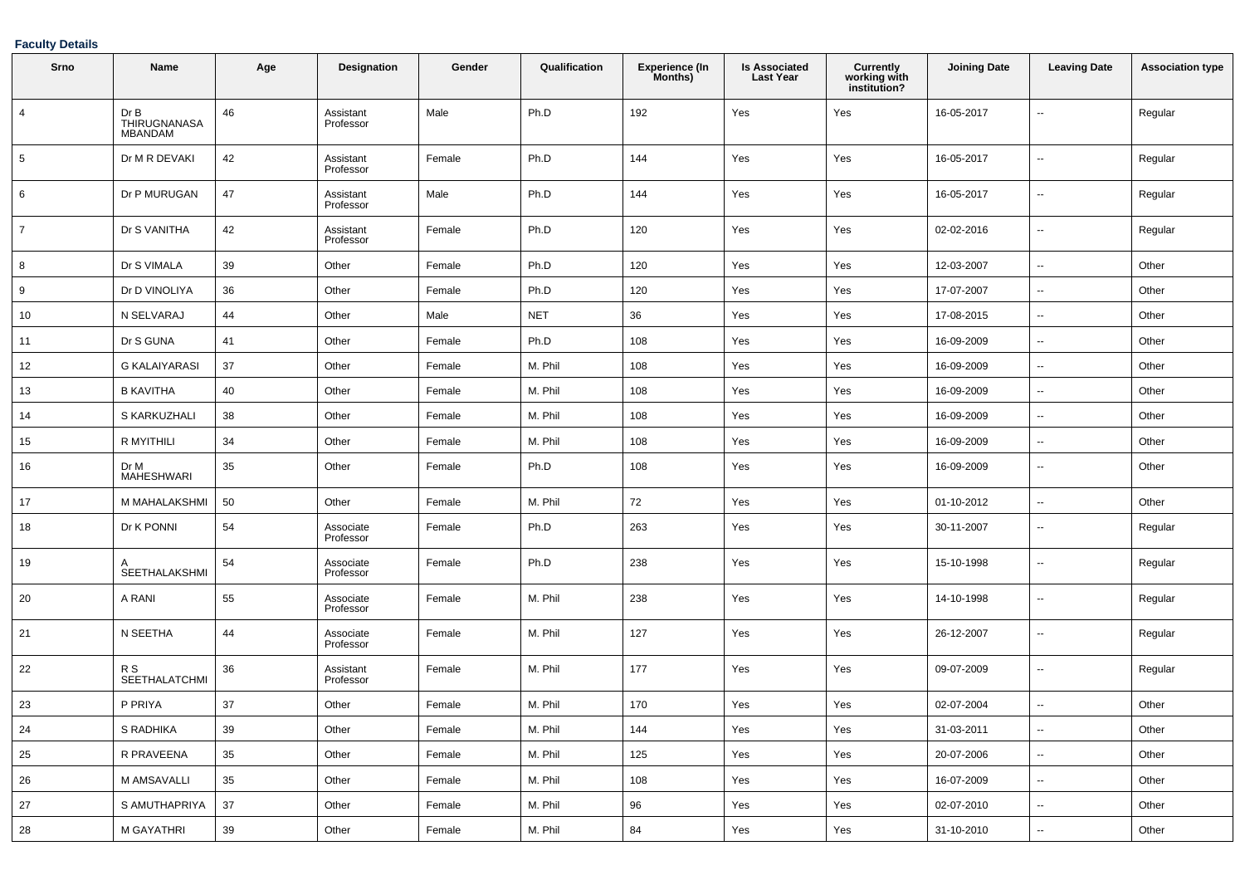| Srno           | Name                                   | Age | <b>Designation</b>     | Gender | Qualification | <b>Experience (In</b><br>Months) | <b>Is Associated</b><br><b>Last Year</b> | Currently<br>working with<br>institution? | <b>Joining Date</b> | <b>Leaving Date</b>      | <b>Association type</b> |
|----------------|----------------------------------------|-----|------------------------|--------|---------------|----------------------------------|------------------------------------------|-------------------------------------------|---------------------|--------------------------|-------------------------|
| $\overline{4}$ | Dr B<br>THIRUGNANASA<br><b>MBANDAM</b> | 46  | Assistant<br>Professor | Male   | Ph.D          | 192                              | Yes                                      | Yes                                       | 16-05-2017          | --                       | Regular                 |
| 5              | Dr M R DEVAKI                          | 42  | Assistant<br>Professor | Female | Ph.D          | 144                              | Yes                                      | Yes                                       | 16-05-2017          | ÷.                       | Regular                 |
| 6              | Dr P MURUGAN                           | 47  | Assistant<br>Professor | Male   | Ph.D          | 144                              | Yes                                      | Yes                                       | 16-05-2017          | $\overline{\phantom{a}}$ | Regular                 |
| $\overline{7}$ | Dr S VANITHA                           | 42  | Assistant<br>Professor | Female | Ph.D          | 120                              | Yes                                      | Yes                                       | 02-02-2016          | $\sim$                   | Regular                 |
| 8              | Dr S VIMALA                            | 39  | Other                  | Female | Ph.D          | 120                              | Yes                                      | Yes                                       | 12-03-2007          | Ξ.                       | Other                   |
| 9              | Dr D VINOLIYA                          | 36  | Other                  | Female | Ph.D          | 120                              | Yes                                      | Yes                                       | 17-07-2007          | $\overline{\phantom{a}}$ | Other                   |
| 10             | N SELVARAJ                             | 44  | Other                  | Male   | <b>NET</b>    | 36                               | Yes                                      | Yes                                       | 17-08-2015          | $\overline{\phantom{a}}$ | Other                   |
| 11             | Dr S GUNA                              | 41  | Other                  | Female | Ph.D          | 108                              | Yes                                      | Yes                                       | 16-09-2009          | $\overline{\phantom{a}}$ | Other                   |
| 12             | <b>G KALAIYARASI</b>                   | 37  | Other                  | Female | M. Phil       | 108                              | Yes                                      | Yes                                       | 16-09-2009          | --                       | Other                   |
| 13             | <b>B KAVITHA</b>                       | 40  | Other                  | Female | M. Phil       | 108                              | Yes                                      | Yes                                       | 16-09-2009          | ۰.                       | Other                   |
| 14             | S KARKUZHALI                           | 38  | Other                  | Female | M. Phil       | 108                              | Yes                                      | Yes                                       | 16-09-2009          | $\overline{\phantom{a}}$ | Other                   |
| 15             | R MYITHILI                             | 34  | Other                  | Female | M. Phil       | 108                              | Yes                                      | Yes                                       | 16-09-2009          | $\overline{\phantom{a}}$ | Other                   |
| 16             | Dr M<br><b>MAHESHWARI</b>              | 35  | Other                  | Female | Ph.D          | 108                              | Yes                                      | Yes                                       | 16-09-2009          | ۰.                       | Other                   |
| 17             | M MAHALAKSHMI                          | 50  | Other                  | Female | M. Phil       | 72                               | Yes                                      | Yes                                       | 01-10-2012          | --                       | Other                   |
| 18             | Dr K PONNI                             | 54  | Associate<br>Professor | Female | Ph.D          | 263                              | Yes                                      | Yes                                       | 30-11-2007          | ۰.                       | Regular                 |
| 19             | SEETHALAKSHMI                          | 54  | Associate<br>Professor | Female | Ph.D          | 238                              | Yes                                      | Yes                                       | 15-10-1998          | ۰.                       | Regular                 |
| 20             | A RANI                                 | 55  | Associate<br>Professor | Female | M. Phil       | 238                              | Yes                                      | Yes                                       | 14-10-1998          | ۰.                       | Regular                 |
| 21             | N SEETHA                               | 44  | Associate<br>Professor | Female | M. Phil       | 127                              | Yes                                      | Yes                                       | 26-12-2007          | ۰.                       | Regular                 |
| 22             | R S<br><b>SEETHALATCHMI</b>            | 36  | Assistant<br>Professor | Female | M. Phil       | 177                              | Yes                                      | Yes                                       | 09-07-2009          | ۰.                       | Regular                 |
| 23             | P PRIYA                                | 37  | Other                  | Female | M. Phil       | 170                              | Yes                                      | Yes                                       | 02-07-2004          |                          | Other                   |
| 24             | S RADHIKA                              | 39  | Other                  | Female | M. Phil       | 144                              | Yes                                      | Yes                                       | 31-03-2011          | --                       | Other                   |
| 25             | R PRAVEENA                             | 35  | Other                  | Female | M. Phil       | 125                              | Yes                                      | Yes                                       | 20-07-2006          | ⊷.                       | Other                   |
| 26             | M AMSAVALLI                            | 35  | Other                  | Female | M. Phil       | 108                              | Yes                                      | Yes                                       | 16-07-2009          | $\overline{\phantom{a}}$ | Other                   |
| 27             | S AMUTHAPRIYA                          | 37  | Other                  | Female | M. Phil       | 96                               | Yes                                      | Yes                                       | 02-07-2010          | $\overline{\phantom{a}}$ | Other                   |
| 28             | M GAYATHRI                             | 39  | Other                  | Female | M. Phil       | 84                               | Yes                                      | Yes                                       | 31-10-2010          | $\sim$                   | Other                   |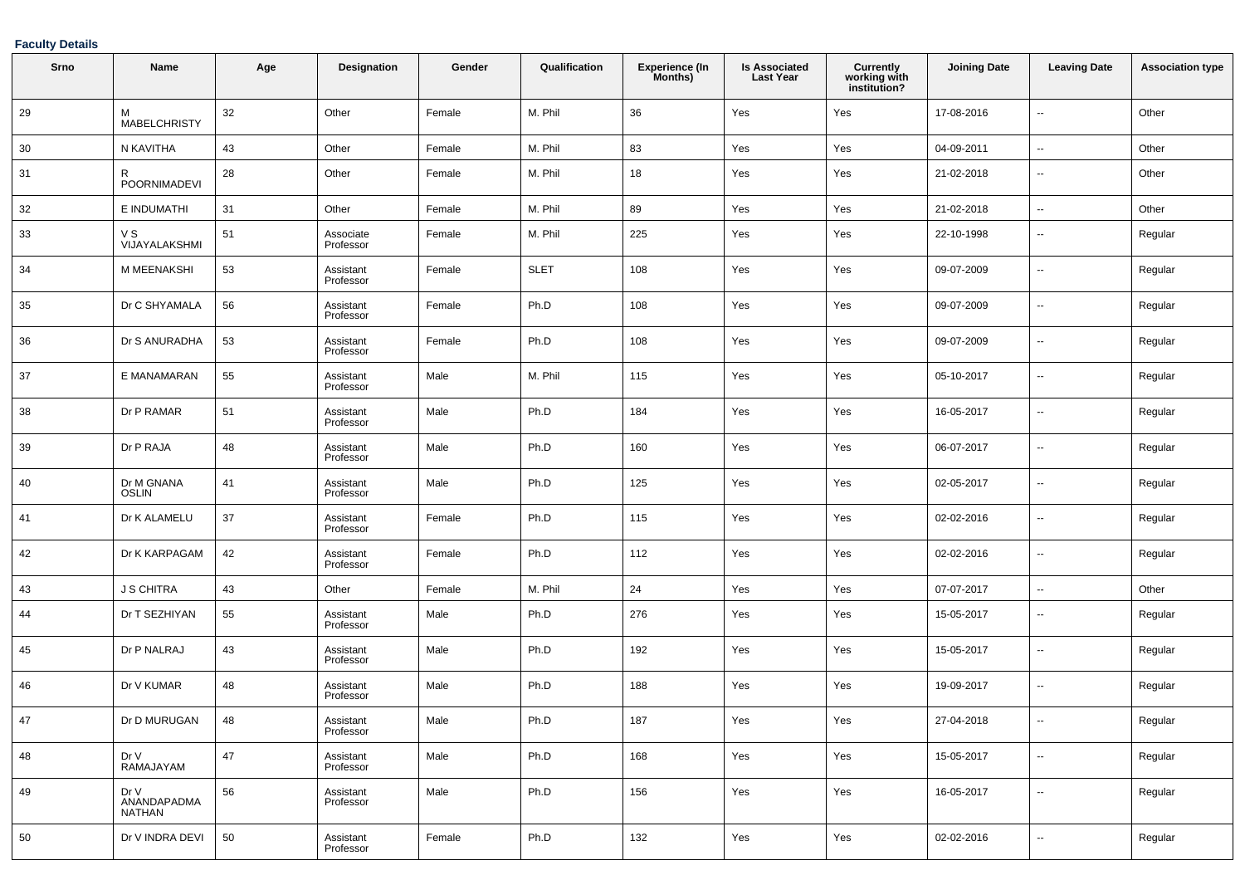| Srno | Name                          | Age | <b>Designation</b>     | Gender | Qualification | <b>Experience (In</b><br>Months) | <b>Is Associated</b><br><b>Last Year</b> | <b>Currently</b><br>working with<br>institution? | <b>Joining Date</b> | <b>Leaving Date</b>      | <b>Association type</b> |
|------|-------------------------------|-----|------------------------|--------|---------------|----------------------------------|------------------------------------------|--------------------------------------------------|---------------------|--------------------------|-------------------------|
| 29   | M<br><b>MABELCHRISTY</b>      | 32  | Other                  | Female | M. Phil       | 36                               | Yes                                      | Yes                                              | 17-08-2016          | $\sim$                   | Other                   |
| 30   | N KAVITHA                     | 43  | Other                  | Female | M. Phil       | 83                               | Yes                                      | Yes                                              | 04-09-2011          | $\overline{\phantom{a}}$ | Other                   |
| 31   | R<br>POORNIMADEVI             | 28  | Other                  | Female | M. Phil       | 18                               | Yes                                      | Yes                                              | 21-02-2018          | $\sim$                   | Other                   |
| 32   | E INDUMATHI                   | 31  | Other                  | Female | M. Phil       | 89                               | Yes                                      | Yes                                              | 21-02-2018          | $\sim$                   | Other                   |
| 33   | v s<br>VIJAYALAKSHMI          | 51  | Associate<br>Professor | Female | M. Phil       | 225                              | Yes                                      | Yes                                              | 22-10-1998          | $\sim$                   | Regular                 |
| 34   | M MEENAKSHI                   | 53  | Assistant<br>Professor | Female | <b>SLET</b>   | 108                              | Yes                                      | Yes                                              | 09-07-2009          | $\sim$                   | Regular                 |
| 35   | Dr C SHYAMALA                 | 56  | Assistant<br>Professor | Female | Ph.D          | 108                              | Yes                                      | Yes                                              | 09-07-2009          | $\sim$                   | Regular                 |
| 36   | Dr S ANURADHA                 | 53  | Assistant<br>Professor | Female | Ph.D          | 108                              | Yes                                      | Yes                                              | 09-07-2009          | $\sim$                   | Regular                 |
| 37   | E MANAMARAN                   | 55  | Assistant<br>Professor | Male   | M. Phil       | 115                              | Yes                                      | Yes                                              | 05-10-2017          | $\sim$                   | Regular                 |
| 38   | Dr P RAMAR                    | 51  | Assistant<br>Professor | Male   | Ph.D          | 184                              | Yes                                      | Yes                                              | 16-05-2017          | $\sim$                   | Regular                 |
| 39   | Dr P RAJA                     | 48  | Assistant<br>Professor | Male   | Ph.D          | 160                              | Yes                                      | Yes                                              | 06-07-2017          | $\sim$                   | Regular                 |
| 40   | Dr M GNANA<br><b>OSLIN</b>    | 41  | Assistant<br>Professor | Male   | Ph.D          | 125                              | Yes                                      | Yes                                              | 02-05-2017          | --                       | Regular                 |
| 41   | Dr K ALAMELU                  | 37  | Assistant<br>Professor | Female | Ph.D          | 115                              | Yes                                      | Yes                                              | 02-02-2016          | --                       | Regular                 |
| 42   | Dr K KARPAGAM                 | 42  | Assistant<br>Professor | Female | Ph.D          | 112                              | Yes                                      | Yes                                              | 02-02-2016          | $\sim$                   | Regular                 |
| 43   | <b>J S CHITRA</b>             | 43  | Other                  | Female | M. Phil       | 24                               | Yes                                      | Yes                                              | 07-07-2017          | $\sim$                   | Other                   |
| 44   | Dr T SEZHIYAN                 | 55  | Assistant<br>Professor | Male   | Ph.D          | 276                              | Yes                                      | Yes                                              | 15-05-2017          | $\sim$                   | Regular                 |
| 45   | Dr P NALRAJ                   | 43  | Assistant<br>Professor | Male   | Ph.D          | 192                              | Yes                                      | Yes                                              | 15-05-2017          | $\sim$                   | Regular                 |
| 46   | Dr V KUMAR                    | 48  | Assistant<br>Professor | Male   | Ph.D          | 188                              | Yes                                      | Yes                                              | 19-09-2017          | $\sim$                   | Regular                 |
| 47   | Dr D MURUGAN                  | 48  | Assistant<br>Professor | Male   | Ph.D          | 187                              | Yes                                      | Yes                                              | 27-04-2018          | $\overline{\phantom{a}}$ | Regular                 |
| 48   | Dr V<br>RAMAJAYAM             | 47  | Assistant<br>Professor | Male   | Ph.D          | 168                              | Yes                                      | Yes                                              | 15-05-2017          | $\sim$                   | Regular                 |
| 49   | Dr V<br>ANANDAPADMA<br>NATHAN | 56  | Assistant<br>Professor | Male   | Ph.D          | 156                              | Yes                                      | Yes                                              | 16-05-2017          | $\overline{\phantom{a}}$ | Regular                 |
| 50   | Dr V INDRA DEVI               | 50  | Assistant<br>Professor | Female | Ph.D          | 132                              | Yes                                      | Yes                                              | 02-02-2016          | $\sim$                   | Regular                 |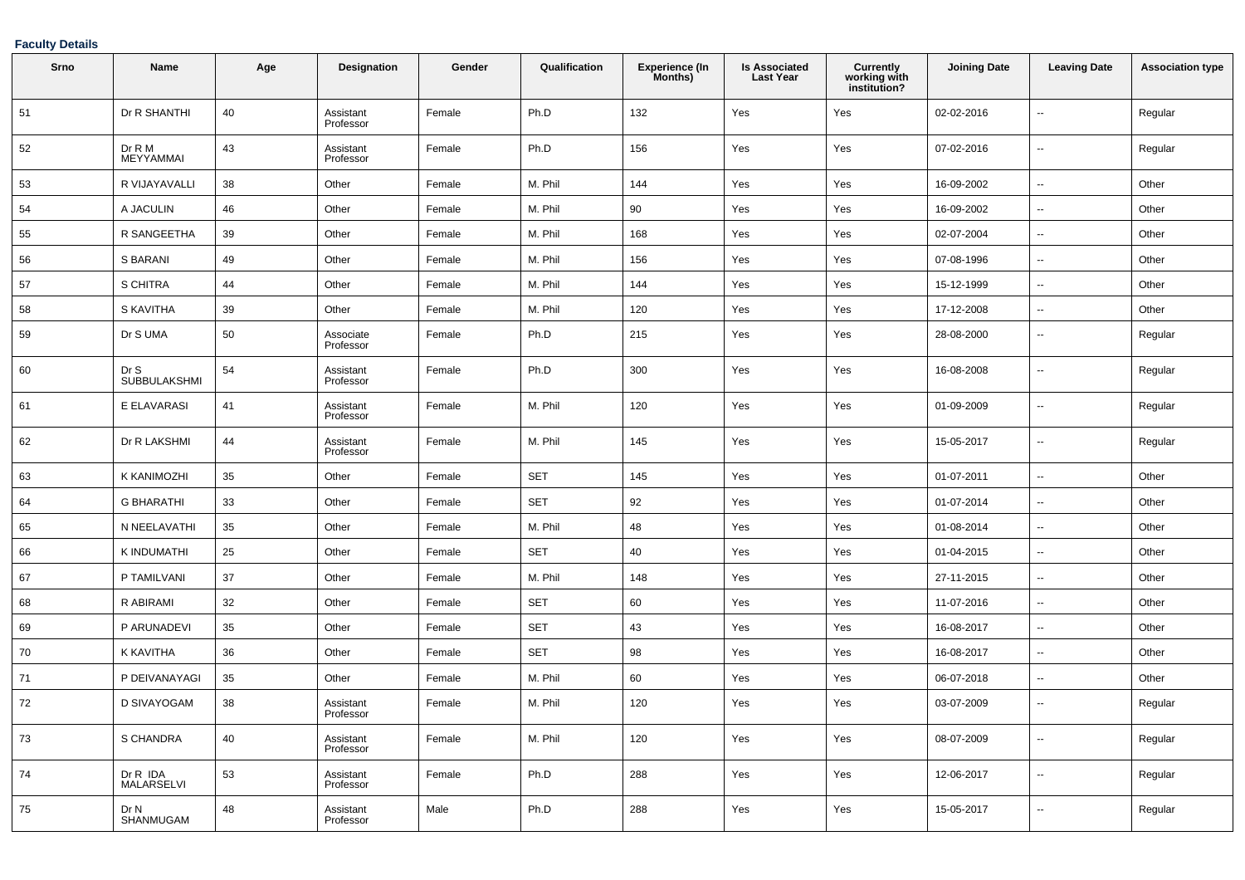| Srno | Name                          | Age | Designation            | Gender | Qualification | <b>Experience (In</b><br>Months) | <b>Is Associated</b><br><b>Last Year</b> | Currently<br>working with<br>institution? | <b>Joining Date</b> | <b>Leaving Date</b>      | <b>Association type</b> |
|------|-------------------------------|-----|------------------------|--------|---------------|----------------------------------|------------------------------------------|-------------------------------------------|---------------------|--------------------------|-------------------------|
| 51   | Dr R SHANTHI                  | 40  | Assistant<br>Professor | Female | Ph.D          | 132                              | Yes                                      | Yes                                       | 02-02-2016          | $\sim$                   | Regular                 |
| 52   | Dr R M<br>MEYYAMMAI           | 43  | Assistant<br>Professor | Female | Ph.D          | 156                              | Yes                                      | Yes                                       | 07-02-2016          | $\sim$                   | Regular                 |
| 53   | R VIJAYAVALLI                 | 38  | Other                  | Female | M. Phil       | 144                              | Yes                                      | Yes                                       | 16-09-2002          | $\sim$                   | Other                   |
| 54   | A JACULIN                     | 46  | Other                  | Female | M. Phil       | 90                               | Yes                                      | Yes                                       | 16-09-2002          | $\sim$                   | Other                   |
| 55   | R SANGEETHA                   | 39  | Other                  | Female | M. Phil       | 168                              | Yes                                      | Yes                                       | 02-07-2004          | $\sim$                   | Other                   |
| 56   | S BARANI                      | 49  | Other                  | Female | M. Phil       | 156                              | Yes                                      | Yes                                       | 07-08-1996          | --                       | Other                   |
| 57   | S CHITRA                      | 44  | Other                  | Female | M. Phil       | 144                              | Yes                                      | Yes                                       | 15-12-1999          | --                       | Other                   |
| 58   | S KAVITHA                     | 39  | Other                  | Female | M. Phil       | 120                              | Yes                                      | Yes                                       | 17-12-2008          | $\overline{\phantom{a}}$ | Other                   |
| 59   | Dr S UMA                      | 50  | Associate<br>Professor | Female | Ph.D          | 215                              | Yes                                      | Yes                                       | 28-08-2000          | $\sim$                   | Regular                 |
| 60   | Dr S<br><b>SUBBULAKSHMI</b>   | 54  | Assistant<br>Professor | Female | Ph.D          | 300                              | Yes                                      | Yes                                       | 16-08-2008          | $\sim$                   | Regular                 |
| 61   | E ELAVARASI                   | 41  | Assistant<br>Professor | Female | M. Phil       | 120                              | Yes                                      | Yes                                       | 01-09-2009          | $\overline{\phantom{a}}$ | Regular                 |
| 62   | Dr R LAKSHMI                  | 44  | Assistant<br>Professor | Female | M. Phil       | 145                              | Yes                                      | Yes                                       | 15-05-2017          | $\overline{\phantom{a}}$ | Regular                 |
| 63   | K KANIMOZHI                   | 35  | Other                  | Female | <b>SET</b>    | 145                              | Yes                                      | Yes                                       | 01-07-2011          | $\sim$                   | Other                   |
| 64   | <b>G BHARATHI</b>             | 33  | Other                  | Female | <b>SET</b>    | 92                               | Yes                                      | Yes                                       | 01-07-2014          | $\sim$                   | Other                   |
| 65   | N NEELAVATHI                  | 35  | Other                  | Female | M. Phil       | 48                               | Yes                                      | Yes                                       | 01-08-2014          | $\sim$                   | Other                   |
| 66   | K INDUMATHI                   | 25  | Other                  | Female | <b>SET</b>    | 40                               | Yes                                      | Yes                                       | 01-04-2015          | --                       | Other                   |
| 67   | P TAMILVANI                   | 37  | Other                  | Female | M. Phil       | 148                              | Yes                                      | Yes                                       | 27-11-2015          | $\sim$                   | Other                   |
| 68   | R ABIRAMI                     | 32  | Other                  | Female | <b>SET</b>    | 60                               | Yes                                      | Yes                                       | 11-07-2016          | $\overline{\phantom{a}}$ | Other                   |
| 69   | P ARUNADEVI                   | 35  | Other                  | Female | <b>SET</b>    | 43                               | Yes                                      | Yes                                       | 16-08-2017          | $\sim$                   | Other                   |
| 70   | K KAVITHA                     | 36  | Other                  | Female | <b>SET</b>    | 98                               | Yes                                      | Yes                                       | 16-08-2017          | --                       | Other                   |
| 71   | P DEIVANAYAGI                 | 35  | Other                  | Female | M. Phil       | 60                               | Yes                                      | Yes                                       | 06-07-2018          | --                       | Other                   |
| 72   | D SIVAYOGAM                   | 38  | Assistant<br>Professor | Female | M. Phil       | 120                              | Yes                                      | Yes                                       | 03-07-2009          | --                       | Regular                 |
| 73   | S CHANDRA                     | 40  | Assistant<br>Professor | Female | M. Phil       | 120                              | Yes                                      | Yes                                       | 08-07-2009          | $\sim$                   | Regular                 |
| 74   | Dr R IDA<br><b>MALARSELVI</b> | 53  | Assistant<br>Professor | Female | Ph.D          | 288                              | Yes                                      | Yes                                       | 12-06-2017          | $\sim$                   | Regular                 |
| 75   | Dr N<br>SHANMUGAM             | 48  | Assistant<br>Professor | Male   | Ph.D          | 288                              | Yes                                      | Yes                                       | 15-05-2017          | $\sim$                   | Regular                 |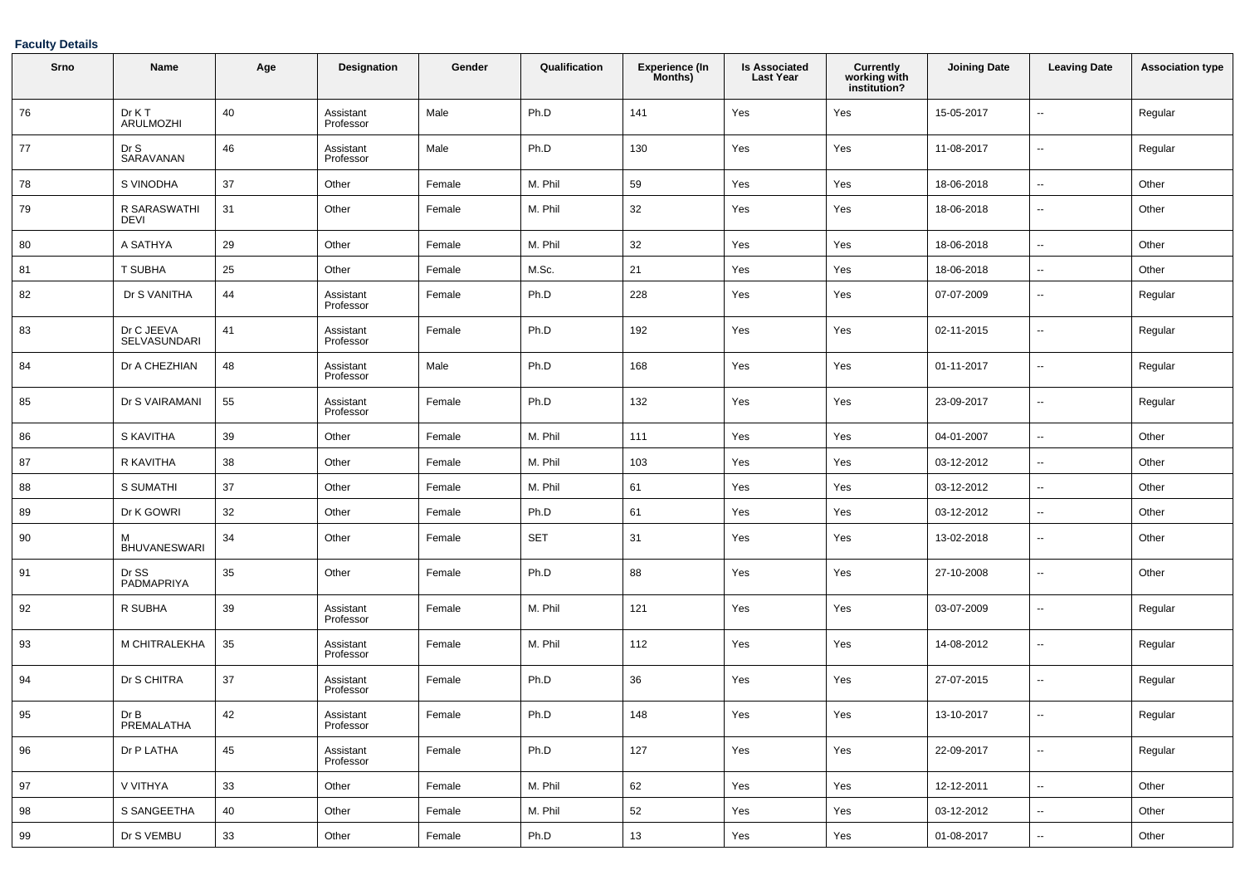| Srno | Name                        | Age | Designation            | Gender | Qualification | <b>Experience (In</b><br>Months) | <b>Is Associated</b><br><b>Last Year</b> | Currently<br>working with<br>institution? | <b>Joining Date</b> | <b>Leaving Date</b>      | <b>Association type</b> |
|------|-----------------------------|-----|------------------------|--------|---------------|----------------------------------|------------------------------------------|-------------------------------------------|---------------------|--------------------------|-------------------------|
| 76   | Dr K T<br>ARULMOZHI         | 40  | Assistant<br>Professor | Male   | Ph.D          | 141                              | Yes                                      | Yes                                       | 15-05-2017          | ٠.                       | Regular                 |
| 77   | Dr S<br>SARAVANAN           | 46  | Assistant<br>Professor | Male   | Ph.D          | 130                              | Yes                                      | Yes                                       | 11-08-2017          | $\overline{\phantom{a}}$ | Regular                 |
| 78   | S VINODHA                   | 37  | Other                  | Female | M. Phil       | 59                               | Yes                                      | Yes                                       | 18-06-2018          | ٠.                       | Other                   |
| 79   | R SARASWATHI<br><b>DEVI</b> | 31  | Other                  | Female | M. Phil       | 32                               | Yes                                      | Yes                                       | 18-06-2018          | ۰.                       | Other                   |
| 80   | A SATHYA                    | 29  | Other                  | Female | M. Phil       | 32                               | Yes                                      | Yes                                       | 18-06-2018          | $\overline{\phantom{a}}$ | Other                   |
| 81   | T SUBHA                     | 25  | Other                  | Female | M.Sc.         | 21                               | Yes                                      | Yes                                       | 18-06-2018          | $\overline{\phantom{a}}$ | Other                   |
| 82   | Dr S VANITHA                | 44  | Assistant<br>Professor | Female | Ph.D          | 228                              | Yes                                      | Yes                                       | 07-07-2009          | $\overline{\phantom{a}}$ | Regular                 |
| 83   | Dr C JEEVA<br>SELVASUNDARI  | 41  | Assistant<br>Professor | Female | Ph.D          | 192                              | Yes                                      | Yes                                       | 02-11-2015          | $\overline{\phantom{a}}$ | Regular                 |
| 84   | Dr A CHEZHIAN               | 48  | Assistant<br>Professor | Male   | Ph.D          | 168                              | Yes                                      | Yes                                       | 01-11-2017          | $\overline{\phantom{a}}$ | Regular                 |
| 85   | Dr S VAIRAMANI              | 55  | Assistant<br>Professor | Female | Ph.D          | 132                              | Yes                                      | Yes                                       | 23-09-2017          | $\overline{\phantom{a}}$ | Regular                 |
| 86   | S KAVITHA                   | 39  | Other                  | Female | M. Phil       | 111                              | Yes                                      | Yes                                       | 04-01-2007          | --                       | Other                   |
| 87   | R KAVITHA                   | 38  | Other                  | Female | M. Phil       | 103                              | Yes                                      | Yes                                       | 03-12-2012          | $\overline{\phantom{a}}$ | Other                   |
| 88   | <b>S SUMATHI</b>            | 37  | Other                  | Female | M. Phil       | 61                               | Yes                                      | Yes                                       | 03-12-2012          | $\ddotsc$                | Other                   |
| 89   | Dr K GOWRI                  | 32  | Other                  | Female | Ph.D          | 61                               | Yes                                      | Yes                                       | 03-12-2012          | ٠.                       | Other                   |
| 90   | м<br><b>BHUVANESWARI</b>    | 34  | Other                  | Female | <b>SET</b>    | 31                               | Yes                                      | Yes                                       | 13-02-2018          | --                       | Other                   |
| 91   | Dr SS<br>PADMAPRIYA         | 35  | Other                  | Female | Ph.D          | 88                               | Yes                                      | Yes                                       | 27-10-2008          | ۰.                       | Other                   |
| 92   | R SUBHA                     | 39  | Assistant<br>Professor | Female | M. Phil       | 121                              | Yes                                      | Yes                                       | 03-07-2009          | $\overline{\phantom{a}}$ | Regular                 |
| 93   | M CHITRALEKHA               | 35  | Assistant<br>Professor | Female | M. Phil       | 112                              | Yes                                      | Yes                                       | 14-08-2012          | --                       | Regular                 |
| 94   | Dr S CHITRA                 | 37  | Assistant<br>Professor | Female | Ph.D          | 36                               | Yes                                      | Yes                                       | 27-07-2015          | ۰.                       | Regular                 |
| 95   | Dr B<br>PREMALATHA          | 42  | Assistant<br>Professor | Female | Ph.D          | 148                              | Yes                                      | Yes                                       | 13-10-2017          | --                       | Regular                 |
| 96   | Dr P LATHA                  | 45  | Assistant<br>Professor | Female | Ph.D          | 127                              | Yes                                      | Yes                                       | 22-09-2017          | ⊷.                       | Regular                 |
| 97   | V VITHYA                    | 33  | Other                  | Female | M. Phil       | 62                               | Yes                                      | Yes                                       | 12-12-2011          | $\sim$                   | Other                   |
| 98   | S SANGEETHA                 | 40  | Other                  | Female | M. Phil       | 52                               | Yes                                      | Yes                                       | 03-12-2012          | ⊷.                       | Other                   |
| 99   | Dr S VEMBU                  | 33  | Other                  | Female | Ph.D          | 13                               | Yes                                      | Yes                                       | 01-08-2017          | ۰.                       | Other                   |